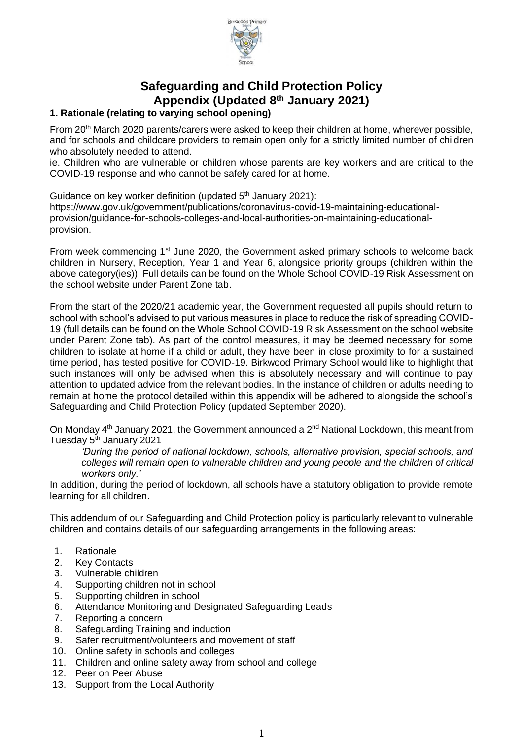

# **Safeguarding and Child Protection Policy Appendix (Updated 8 th January 2021)**

# **1. Rationale (relating to varying school opening)**

From 20<sup>th</sup> March 2020 parents/carers were asked to keep their children at home, wherever possible, and for schools and childcare providers to remain open only for a strictly limited number of children who absolutely needed to attend.

ie. Children who are vulnerable or children whose parents are key workers and are critical to the COVID-19 response and who cannot be safely cared for at home.

Guidance on key worker definition (updated  $5<sup>th</sup>$  January 2021): https://www.gov.uk/government/publications/coronavirus-covid-19-maintaining-educationalprovision/guidance-for-schools-colleges-and-local-authorities-on-maintaining-educationalprovision.

From week commencing 1<sup>st</sup> June 2020, the Government asked primary schools to welcome back children in Nursery, Reception, Year 1 and Year 6, alongside priority groups (children within the above category(ies)). Full details can be found on the Whole School COVID-19 Risk Assessment on the school website under Parent Zone tab.

From the start of the 2020/21 academic year, the Government requested all pupils should return to school with school's advised to put various measures in place to reduce the risk of spreading COVID-19 (full details can be found on the Whole School COVID-19 Risk Assessment on the school website under Parent Zone tab). As part of the control measures, it may be deemed necessary for some children to isolate at home if a child or adult, they have been in close proximity to for a sustained time period, has tested positive for COVID-19. Birkwood Primary School would like to highlight that such instances will only be advised when this is absolutely necessary and will continue to pay attention to updated advice from the relevant bodies. In the instance of children or adults needing to remain at home the protocol detailed within this appendix will be adhered to alongside the school's Safeguarding and Child Protection Policy (updated September 2020).

On Monday 4<sup>th</sup> January 2021, the Government announced a 2<sup>nd</sup> National Lockdown, this meant from Tuesday 5<sup>th</sup> January 2021

*'During the period of national lockdown, schools, alternative provision, special schools, and colleges will remain open to vulnerable children and young people and the children of critical workers only.'* 

In addition, during the period of lockdown, all schools have a statutory obligation to provide remote learning for all children.

This addendum of our Safeguarding and Child Protection policy is particularly relevant to vulnerable children and contains details of our safeguarding arrangements in the following areas:

- 1. Rationale
- 2. Key Contacts
- 3. Vulnerable children
- 4. Supporting children not in school
- 5. Supporting children in school
- 6. Attendance Monitoring and Designated Safeguarding Leads
- 7. Reporting a concern
- 8. Safeguarding Training and induction
- 9. Safer recruitment/volunteers and movement of staff
- 10. Online safety in schools and colleges
- 11. Children and online safety away from school and college
- 12. Peer on Peer Abuse
- 13. Support from the Local Authority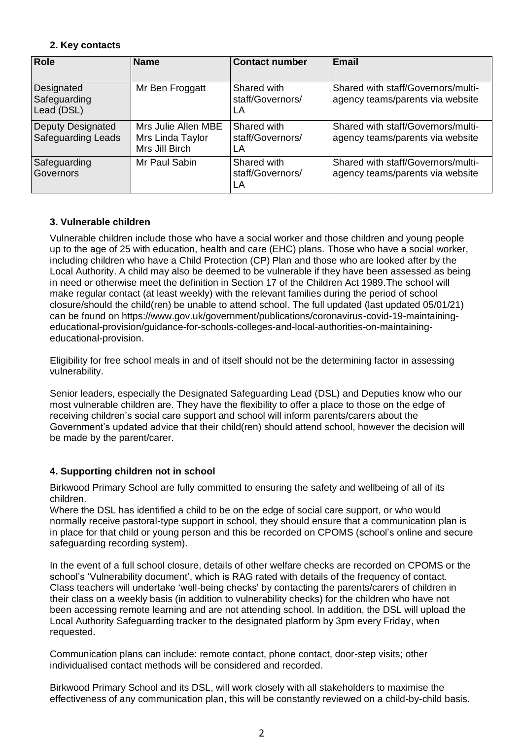# **2. Key contacts**

| <b>Role</b>                                           | <b>Name</b>                                               | <b>Contact number</b>                 | Email                                                                  |
|-------------------------------------------------------|-----------------------------------------------------------|---------------------------------------|------------------------------------------------------------------------|
| Designated<br>Safeguarding<br>Lead (DSL)              | Mr Ben Froggatt                                           | Shared with<br>staff/Governors/<br>LA | Shared with staff/Governors/multi-<br>agency teams/parents via website |
| <b>Deputy Designated</b><br><b>Safeguarding Leads</b> | Mrs Julie Allen MBE<br>Mrs Linda Taylor<br>Mrs Jill Birch | Shared with<br>staff/Governors/<br>LA | Shared with staff/Governors/multi-<br>agency teams/parents via website |
| Safeguarding<br><b>Governors</b>                      | Mr Paul Sabin                                             | Shared with<br>staff/Governors/<br>LA | Shared with staff/Governors/multi-<br>agency teams/parents via website |

# **3. Vulnerable children**

Vulnerable children include those who have a social worker and those children and young people up to the age of 25 with education, health and care (EHC) plans. Those who have a social worker, including children who have a Child Protection (CP) Plan and those who are looked after by the Local Authority. A child may also be deemed to be vulnerable if they have been assessed as being in need or otherwise meet the definition in Section 17 of the Children Act 1989.The school will make regular contact (at least weekly) with the relevant families during the period of school closure/should the child(ren) be unable to attend school. The full updated (last updated 05/01/21) can be found on https://www.gov.uk/government/publications/coronavirus-covid-19-maintainingeducational-provision/guidance-for-schools-colleges-and-local-authorities-on-maintainingeducational-provision.

Eligibility for free school meals in and of itself should not be the determining factor in assessing vulnerability.

Senior leaders, especially the Designated Safeguarding Lead (DSL) and Deputies know who our most vulnerable children are. They have the flexibility to offer a place to those on the edge of receiving children's social care support and school will inform parents/carers about the Government's updated advice that their child(ren) should attend school, however the decision will be made by the parent/carer.

# **4. Supporting children not in school**

Birkwood Primary School are fully committed to ensuring the safety and wellbeing of all of its children.

Where the DSL has identified a child to be on the edge of social care support, or who would normally receive pastoral-type support in school, they should ensure that a communication plan is in place for that child or young person and this be recorded on CPOMS (school's online and secure safeguarding recording system).

In the event of a full school closure, details of other welfare checks are recorded on CPOMS or the school's 'Vulnerability document', which is RAG rated with details of the frequency of contact. Class teachers will undertake 'well-being checks' by contacting the parents/carers of children in their class on a weekly basis (in addition to vulnerability checks) for the children who have not been accessing remote learning and are not attending school. In addition, the DSL will upload the Local Authority Safeguarding tracker to the designated platform by 3pm every Friday, when requested.

Communication plans can include: remote contact, phone contact, door-step visits; other individualised contact methods will be considered and recorded.

Birkwood Primary School and its DSL, will work closely with all stakeholders to maximise the effectiveness of any communication plan, this will be constantly reviewed on a child-by-child basis.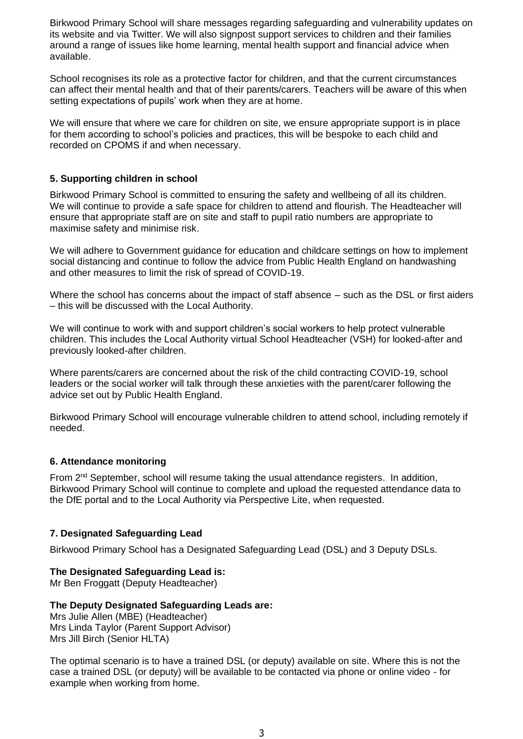Birkwood Primary School will share messages regarding safeguarding and vulnerability updates on its website and via Twitter. We will also signpost support services to children and their families around a range of issues like home learning, mental health support and financial advice when available.

School recognises its role as a protective factor for children, and that the current circumstances can affect their mental health and that of their parents/carers. Teachers will be aware of this when setting expectations of pupils' work when they are at home.

We will ensure that where we care for children on site, we ensure appropriate support is in place for them according to school's policies and practices, this will be bespoke to each child and recorded on CPOMS if and when necessary.

# **5. Supporting children in school**

Birkwood Primary School is committed to ensuring the safety and wellbeing of all its children. We will continue to provide a safe space for children to attend and flourish. The Headteacher will ensure that appropriate staff are on site and staff to pupil ratio numbers are appropriate to maximise safety and minimise risk.

We will adhere to Government guidance for education and childcare settings on how to implement social distancing and continue to follow the advice from Public Health England on handwashing and other measures to limit the risk of spread of COVID-19.

Where the school has concerns about the impact of staff absence – such as the DSL or first aiders – this will be discussed with the Local Authority.

We will continue to work with and support children's social workers to help protect vulnerable children. This includes the Local Authority virtual School Headteacher (VSH) for looked-after and previously looked-after children.

Where parents/carers are concerned about the risk of the child contracting COVID-19, school leaders or the social worker will talk through these anxieties with the parent/carer following the advice set out by Public Health England.

Birkwood Primary School will encourage vulnerable children to attend school, including remotely if needed.

# **6. Attendance monitoring**

From 2<sup>nd</sup> September, school will resume taking the usual attendance registers. In addition, Birkwood Primary School will continue to complete and upload the requested attendance data to the DfE portal and to the Local Authority via Perspective Lite, when requested.

# **7. Designated Safeguarding Lead**

Birkwood Primary School has a Designated Safeguarding Lead (DSL) and 3 Deputy DSLs.

# **The Designated Safeguarding Lead is:**

Mr Ben Froggatt (Deputy Headteacher)

#### **The Deputy Designated Safeguarding Leads are:**

Mrs Julie Allen (MBE) (Headteacher) Mrs Linda Taylor (Parent Support Advisor) Mrs Jill Birch (Senior HLTA)

The optimal scenario is to have a trained DSL (or deputy) available on site. Where this is not the case a trained DSL (or deputy) will be available to be contacted via phone or online video - for example when working from home.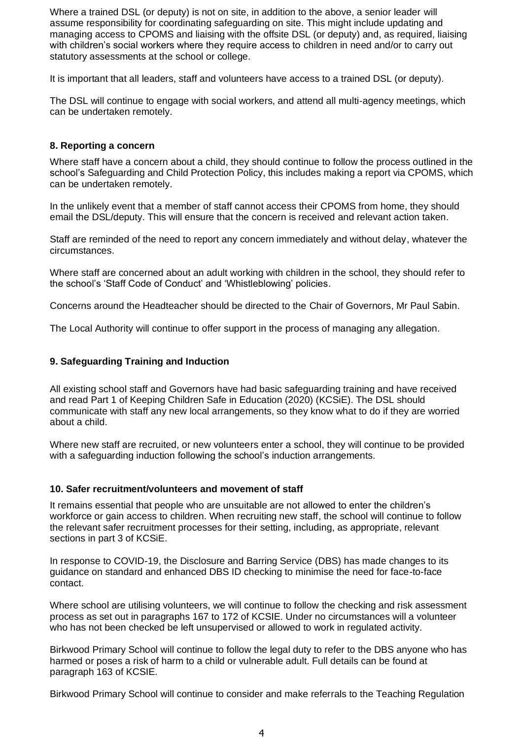Where a trained DSL (or deputy) is not on site, in addition to the above, a senior leader will assume responsibility for coordinating safeguarding on site. This might include updating and managing access to CPOMS and liaising with the offsite DSL (or deputy) and, as required, liaising with children's social workers where they require access to children in need and/or to carry out statutory assessments at the school or college.

It is important that all leaders, staff and volunteers have access to a trained DSL (or deputy).

The DSL will continue to engage with social workers, and attend all multi-agency meetings, which can be undertaken remotely.

### **8. Reporting a concern**

Where staff have a concern about a child, they should continue to follow the process outlined in the school's Safeguarding and Child Protection Policy, this includes making a report via CPOMS, which can be undertaken remotely.

In the unlikely event that a member of staff cannot access their CPOMS from home, they should email the DSL/deputy. This will ensure that the concern is received and relevant action taken.

Staff are reminded of the need to report any concern immediately and without delay, whatever the circumstances.

Where staff are concerned about an adult working with children in the school, they should refer to the school's 'Staff Code of Conduct' and 'Whistleblowing' policies.

Concerns around the Headteacher should be directed to the Chair of Governors, Mr Paul Sabin.

The Local Authority will continue to offer support in the process of managing any allegation.

### **9. Safeguarding Training and Induction**

All existing school staff and Governors have had basic safeguarding training and have received and read Part 1 of Keeping Children Safe in Education (2020) (KCSiE). The DSL should communicate with staff any new local arrangements, so they know what to do if they are worried about a child.

Where new staff are recruited, or new volunteers enter a school, they will continue to be provided with a safeguarding induction following the school's induction arrangements.

#### **10. Safer recruitment/volunteers and movement of staff**

It remains essential that people who are unsuitable are not allowed to enter the children's workforce or gain access to children. When recruiting new staff, the school will continue to follow the relevant safer recruitment processes for their setting, including, as appropriate, relevant sections in part 3 of KCSiE.

In response to COVID-19, the Disclosure and Barring Service (DBS) has made changes to its guidance on standard and enhanced DBS ID checking to minimise the need for face-to-face contact.

Where school are utilising volunteers, we will continue to follow the checking and risk assessment process as set out in paragraphs 167 to 172 of KCSIE. Under no circumstances will a volunteer who has not been checked be left unsupervised or allowed to work in regulated activity.

Birkwood Primary School will continue to follow the legal duty to refer to the DBS anyone who has harmed or poses a risk of harm to a child or vulnerable adult. Full details can be found at paragraph 163 of KCSIE.

Birkwood Primary School will continue to consider and make referrals to the Teaching Regulation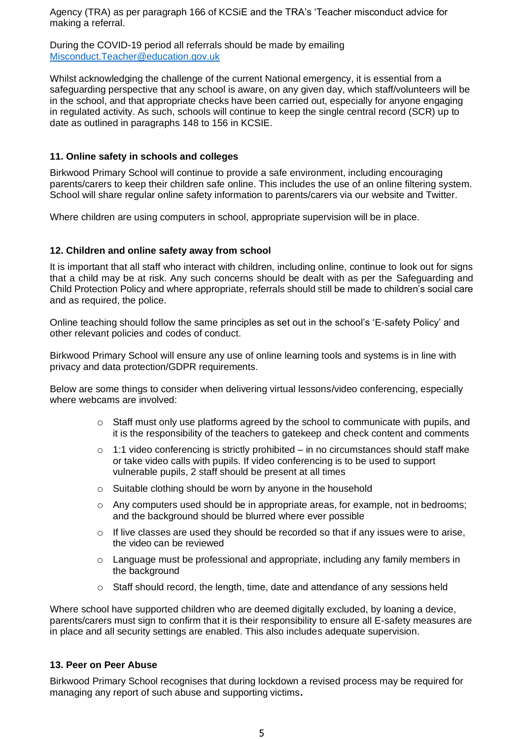Agency (TRA) as per paragraph 166 of KCSiE and the TRA's 'Teacher misconduct advice for making a referral.

During the COVID-19 period all referrals should be made by emailing [Misconduct.Teacher@education.gov.uk](mailto:Misconduct.Teacher@education.gov.uk)

Whilst acknowledging the challenge of the current National emergency, it is essential from a safeguarding perspective that any school is aware, on any given day, which staff/volunteers will be in the school, and that appropriate checks have been carried out, especially for anyone engaging in regulated activity. As such, schools will continue to keep the single central record (SCR) up to date as outlined in paragraphs 148 to 156 in KCSIE.

# **11. Online safety in schools and colleges**

Birkwood Primary School will continue to provide a safe environment, including encouraging parents/carers to keep their children safe online. This includes the use of an online filtering system. School will share regular online safety information to parents/carers via our website and Twitter.

Where children are using computers in school, appropriate supervision will be in place.

# **12. Children and online safety away from school**

It is important that all staff who interact with children, including online, continue to look out for signs that a child may be at risk. Any such concerns should be dealt with as per the Safeguarding and Child Protection Policy and where appropriate, referrals should still be made to children's social care and as required, the police.

Online teaching should follow the same principles as set out in the school's 'E-safety Policy' and other relevant policies and codes of conduct.

Birkwood Primary School will ensure any use of online learning tools and systems is in line with privacy and data protection/GDPR requirements.

Below are some things to consider when delivering virtual lessons/video conferencing, especially where webcams are involved:

- o Staff must only use platforms agreed by the school to communicate with pupils, and it is the responsibility of the teachers to gatekeep and check content and comments
- $\circ$  1:1 video conferencing is strictly prohibited in no circumstances should staff make or take video calls with pupils. If video conferencing is to be used to support vulnerable pupils, 2 staff should be present at all times
- o Suitable clothing should be worn by anyone in the household
- $\circ$  Any computers used should be in appropriate areas, for example, not in bedrooms; and the background should be blurred where ever possible
- o If live classes are used they should be recorded so that if any issues were to arise, the video can be reviewed
- $\circ$  Language must be professional and appropriate, including any family members in the background
- o Staff should record, the length, time, date and attendance of any sessions held

Where school have supported children who are deemed digitally excluded, by loaning a device, parents/carers must sign to confirm that it is their responsibility to ensure all E-safety measures are in place and all security settings are enabled. This also includes adequate supervision.

# **13. Peer on Peer Abuse**

Birkwood Primary School recognises that during lockdown a revised process may be required for managing any report of such abuse and supporting victims**.**